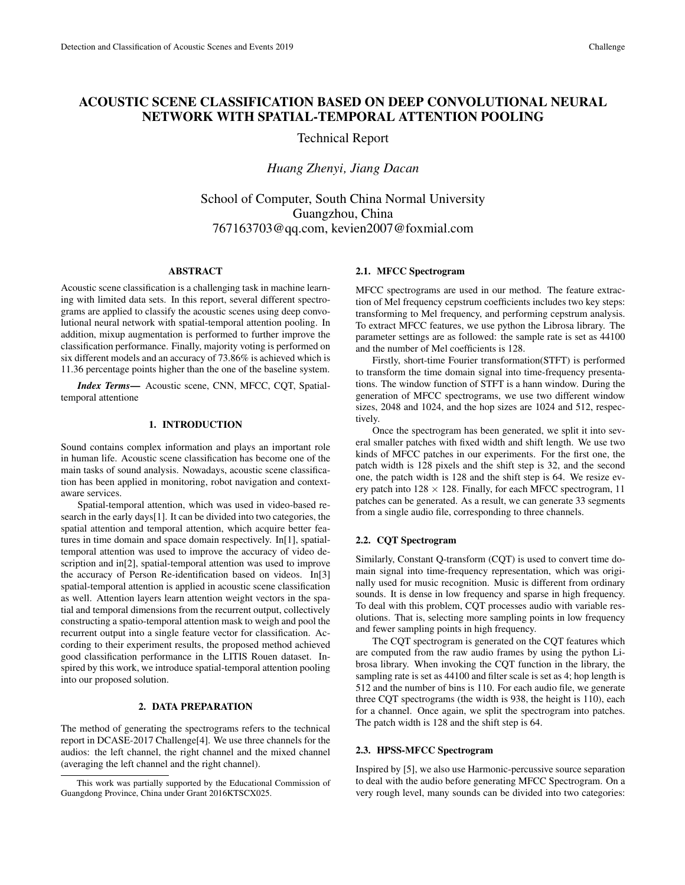# ACOUSTIC SCENE CLASSIFICATION BASED ON DEEP CONVOLUTIONAL NEURAL NETWORK WITH SPATIAL-TEMPORAL ATTENTION POOLING

Technical Report

*Huang Zhenyi, Jiang Dacan*

School of Computer, South China Normal University Guangzhou, China 767163703@qq.com, kevien2007@foxmial.com

### ABSTRACT

Acoustic scene classification is a challenging task in machine learning with limited data sets. In this report, several different spectrograms are applied to classify the acoustic scenes using deep convolutional neural network with spatial-temporal attention pooling. In addition, mixup augmentation is performed to further improve the classification performance. Finally, majority voting is performed on six different models and an accuracy of 73.86% is achieved which is 11.36 percentage points higher than the one of the baseline system.

*Index Terms*— Acoustic scene, CNN, MFCC, CQT, Spatialtemporal attentione

### 1. INTRODUCTION

Sound contains complex information and plays an important role in human life. Acoustic scene classification has become one of the main tasks of sound analysis. Nowadays, acoustic scene classification has been applied in monitoring, robot navigation and contextaware services.

Spatial-temporal attention, which was used in video-based research in the early days[1]. It can be divided into two categories, the spatial attention and temporal attention, which acquire better features in time domain and space domain respectively. In[1], spatialtemporal attention was used to improve the accuracy of video description and in[2], spatial-temporal attention was used to improve the accuracy of Person Re-identification based on videos. In[3] spatial-temporal attention is applied in acoustic scene classification as well. Attention layers learn attention weight vectors in the spatial and temporal dimensions from the recurrent output, collectively constructing a spatio-temporal attention mask to weigh and pool the recurrent output into a single feature vector for classification. According to their experiment results, the proposed method achieved good classification performance in the LITIS Rouen dataset. Inspired by this work, we introduce spatial-temporal attention pooling into our proposed solution.

## 2. DATA PREPARATION

The method of generating the spectrograms refers to the technical report in DCASE-2017 Challenge[4]. We use three channels for the audios: the left channel, the right channel and the mixed channel (averaging the left channel and the right channel).

#### 2.1. MFCC Spectrogram

MFCC spectrograms are used in our method. The feature extraction of Mel frequency cepstrum coefficients includes two key steps: transforming to Mel frequency, and performing cepstrum analysis. To extract MFCC features, we use python the Librosa library. The parameter settings are as followed: the sample rate is set as 44100 and the number of Mel coefficients is 128.

Firstly, short-time Fourier transformation(STFT) is performed to transform the time domain signal into time-frequency presentations. The window function of STFT is a hann window. During the generation of MFCC spectrograms, we use two different window sizes, 2048 and 1024, and the hop sizes are 1024 and 512, respectively.

Once the spectrogram has been generated, we split it into several smaller patches with fixed width and shift length. We use two kinds of MFCC patches in our experiments. For the first one, the patch width is 128 pixels and the shift step is 32, and the second one, the patch width is 128 and the shift step is 64. We resize every patch into  $128 \times 128$ . Finally, for each MFCC spectrogram, 11 patches can be generated. As a result, we can generate 33 segments from a single audio file, corresponding to three channels.

### 2.2. CQT Spectrogram

Similarly, Constant Q-transform (CQT) is used to convert time domain signal into time-frequency representation, which was originally used for music recognition. Music is different from ordinary sounds. It is dense in low frequency and sparse in high frequency. To deal with this problem, CQT processes audio with variable resolutions. That is, selecting more sampling points in low frequency and fewer sampling points in high frequency.

The CQT spectrogram is generated on the CQT features which are computed from the raw audio frames by using the python Librosa library. When invoking the CQT function in the library, the sampling rate is set as 44100 and filter scale is set as 4; hop length is 512 and the number of bins is 110. For each audio file, we generate three CQT spectrograms (the width is 938, the height is 110), each for a channel. Once again, we split the spectrogram into patches. The patch width is 128 and the shift step is 64.

#### 2.3. HPSS-MFCC Spectrogram

Inspired by [5], we also use Harmonic-percussive source separation to deal with the audio before generating MFCC Spectrogram. On a very rough level, many sounds can be divided into two categories:

This work was partially supported by the Educational Commission of Guangdong Province, China under Grant 2016KTSCX025.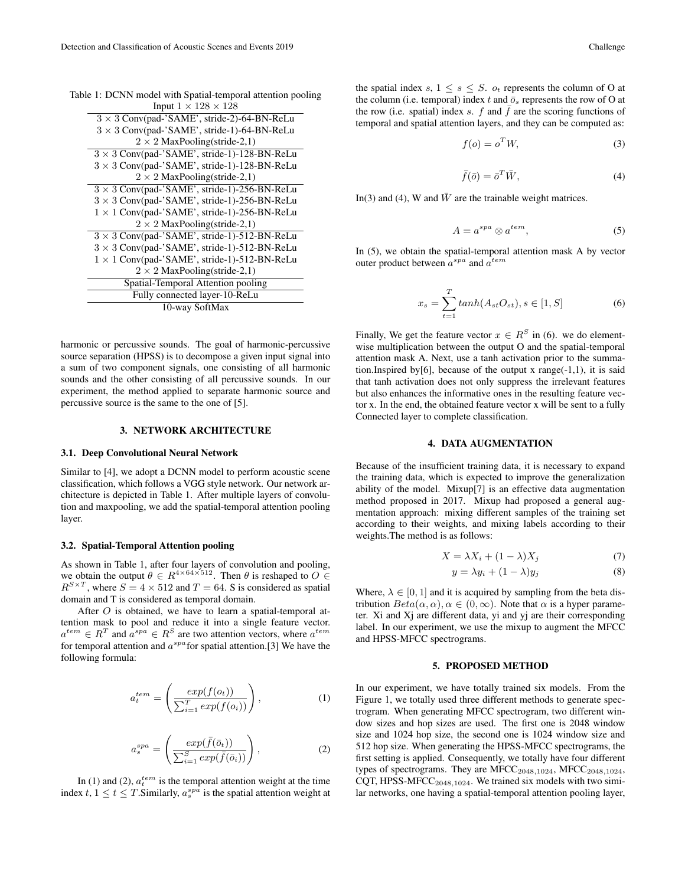| Table 1: DCNN model with Spatial-temporal attention pooling |
|-------------------------------------------------------------|
| Input $1 \times 128 \times 128$                             |
| $3 \times 3$ Conv(pad-'SAME', stride-2)-64-BN-ReLu          |
| $3 \times 3$ Conv(pad-'SAME', stride-1)-64-BN-ReLu          |
| $2 \times 2$ MaxPooling(stride-2,1)                         |
| $3 \times 3$ Conv(pad-'SAME', stride-1)-128-BN-ReLu         |
| $3 \times 3$ Conv(pad-'SAME', stride-1)-128-BN-ReLu         |
| $2 \times 2$ MaxPooling(stride-2,1)                         |
| $3 \times 3$ Conv(pad-'SAME', stride-1)-256-BN-ReLu         |
| $3 \times 3$ Conv(pad-'SAME', stride-1)-256-BN-ReLu         |
| $1 \times 1$ Conv(pad-'SAME', stride-1)-256-BN-ReLu         |
| $2 \times 2$ MaxPooling(stride-2,1)                         |
| $3 \times 3$ Conv(pad-'SAME', stride-1)-512-BN-ReLu         |
| $3 \times 3$ Conv(pad-'SAME', stride-1)-512-BN-ReLu         |
| $1 \times 1$ Conv(pad-'SAME', stride-1)-512-BN-ReLu         |
| $2 \times 2$ MaxPooling(stride-2,1)                         |
| Spatial-Temporal Attention pooling                          |
| Fully connected layer-10-ReLu                               |
| 10-way SoftMax                                              |

harmonic or percussive sounds. The goal of harmonic-percussive source separation (HPSS) is to decompose a given input signal into a sum of two component signals, one consisting of all harmonic sounds and the other consisting of all percussive sounds. In our experiment, the method applied to separate harmonic source and percussive source is the same to the one of [5].

### 3. NETWORK ARCHITECTURE

#### 3.1. Deep Convolutional Neural Network

Similar to [4], we adopt a DCNN model to perform acoustic scene classification, which follows a VGG style network. Our network architecture is depicted in Table 1. After multiple layers of convolution and maxpooling, we add the spatial-temporal attention pooling layer.

### 3.2. Spatial-Temporal Attention pooling

As shown in Table 1, after four layers of convolution and pooling, we obtain the output  $\theta \in R^{4 \times 64 \times 512}$ . Then  $\theta$  is reshaped to  $O \in$  $R^{S \times T}$ , where  $S = 4 \times 512$  and  $T = 64$ . S is considered as spatial domain and T is considered as temporal domain.

After O is obtained, we have to learn a spatial-temporal attention mask to pool and reduce it into a single feature vector.  $a^{tem} \in R^T$  and  $a^{spa} \in R^S$  are two attention vectors, where  $a^{tem}$ for temporal attention and  $a^{spa}$  for spatial attention.[3] We have the following formula:

$$
a_t^{tem} = \left(\frac{exp(f(o_t))}{\sum_{i=1}^T exp(f(o_i))}\right),\tag{1}
$$

$$
a_s^{spa} = \left(\frac{exp(\bar{f}(\bar{o}_t))}{\sum_{i=1}^S exp(\bar{f}(\bar{o}_i))}\right),\tag{2}
$$

In (1) and (2),  $a_t^{tem}$  is the temporal attention weight at the time index  $t, 1 \le t \le T$ . Similarly,  $a_s^{spa}$  is the spatial attention weight at

the spatial index s,  $1 \leq s \leq S$ .  $o_t$  represents the column of O at the column (i.e. temporal) index t and  $\bar{\sigma}_s$  represents the row of O at the row (i.e. spatial) index s. f and  $\bar{f}$  are the scoring functions of temporal and spatial attention layers, and they can be computed as:

$$
f(o) = o^T W,
$$
\n(3)

$$
\bar{f}(\bar{o}) = \bar{o}^T \bar{W},\tag{4}
$$

In(3) and (4), W and  $\bar{W}$  are the trainable weight matrices.

$$
A = a^{spa} \otimes a^{tem}, \tag{5}
$$

In (5), we obtain the spatial-temporal attention mask A by vector outer product between  $a^{spa}$  and  $a^{tem}$ 

$$
x_s = \sum_{t=1}^{T} \tanh(A_{st}O_{st}), s \in [1, S]
$$
 (6)

Finally, We get the feature vector  $x \in R^S$  in (6). we do elementwise multiplication between the output O and the spatial-temporal attention mask A. Next, use a tanh activation prior to the summation.Inspired by[6], because of the output x range $(-1,1)$ , it is said that tanh activation does not only suppress the irrelevant features but also enhances the informative ones in the resulting feature vector x. In the end, the obtained feature vector x will be sent to a fully Connected layer to complete classification.

#### 4. DATA AUGMENTATION

Because of the insufficient training data, it is necessary to expand the training data, which is expected to improve the generalization ability of the model. Mixup[7] is an effective data augmentation method proposed in 2017. Mixup had proposed a general augmentation approach: mixing different samples of the training set according to their weights, and mixing labels according to their weights.The method is as follows:

$$
X = \lambda X_i + (1 - \lambda)X_j \tag{7}
$$

$$
y = \lambda y_i + (1 - \lambda)y_j \tag{8}
$$

Where,  $\lambda \in [0, 1]$  and it is acquired by sampling from the beta distribution  $Beta(\alpha, \alpha)$ ,  $\alpha \in (0, \infty)$ . Note that  $\alpha$  is a hyper parameter. Xi and Xj are different data, yi and yj are their corresponding label. In our experiment, we use the mixup to augment the MFCC and HPSS-MFCC spectrograms.

#### 5. PROPOSED METHOD

In our experiment, we have totally trained six models. From the Figure 1, we totally used three different methods to generate spectrogram. When generating MFCC spectrogram, two different window sizes and hop sizes are used. The first one is 2048 window size and 1024 hop size, the second one is 1024 window size and 512 hop size. When generating the HPSS-MFCC spectrograms, the first setting is applied. Consequently, we totally have four different types of spectrograms. They are  $MFCC_{2048,1024}$ ,  $MFCC_{2048,1024}$ , CQT, HPSS-MFCC<sub>2048,1024</sub>. We trained six models with two similar networks, one having a spatial-temporal attention pooling layer,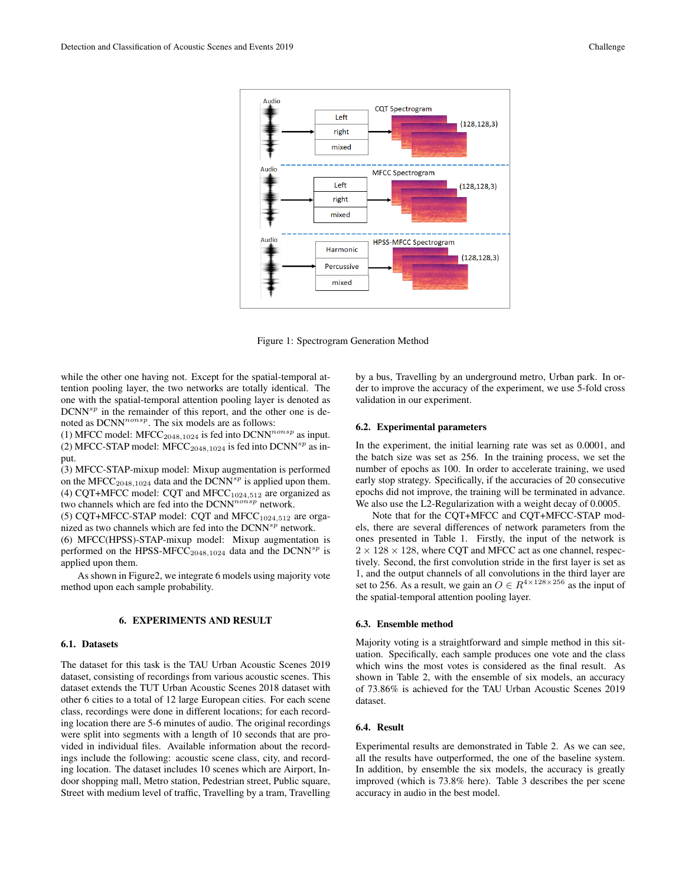

Figure 1: Spectrogram Generation Method

while the other one having not. Except for the spatial-temporal attention pooling layer, the two networks are totally identical. The one with the spatial-temporal attention pooling layer is denoted as  $DCNN^{sp}$  in the remainder of this report, and the other one is denoted as  $DCNN^{nonsp}$ . The six models are as follows:

(1) MFCC model: MFCC<sub>2048,1024</sub> is fed into DCNN<sup>nonsp</sup> as input. (2) MFCC-STAP model: MFCC<sub>2048,1024</sub> is fed into DCNN<sup>sp</sup> as input.

(3) MFCC-STAP-mixup model: Mixup augmentation is performed on the MFCC<sub>2048,1024</sub> data and the DCNN<sup>sp</sup> is applied upon them. (4) CQT+MFCC model: CQT and MFCC $_{1024,512}$  are organized as two channels which are fed into the  $DCNN^{nonsp}$  network.

(5) CQT+MFCC-STAP model: CQT and MFCC $_{1024,512}$  are organized as two channels which are fed into the  $DCNN^{sp}$  network.

(6) MFCC(HPSS)-STAP-mixup model: Mixup augmentation is performed on the HPSS-MFCC<sub>2048,1024</sub> data and the DCNN<sup>sp</sup> is applied upon them.

As shown in Figure2, we integrate 6 models using majority vote method upon each sample probability.

#### 6. EXPERIMENTS AND RESULT

### 6.1. Datasets

The dataset for this task is the TAU Urban Acoustic Scenes 2019 dataset, consisting of recordings from various acoustic scenes. This dataset extends the TUT Urban Acoustic Scenes 2018 dataset with other 6 cities to a total of 12 large European cities. For each scene class, recordings were done in different locations; for each recording location there are 5-6 minutes of audio. The original recordings were split into segments with a length of 10 seconds that are provided in individual files. Available information about the recordings include the following: acoustic scene class, city, and recording location. The dataset includes 10 scenes which are Airport, Indoor shopping mall, Metro station, Pedestrian street, Public square, Street with medium level of traffic, Travelling by a tram, Travelling by a bus, Travelling by an underground metro, Urban park. In order to improve the accuracy of the experiment, we use 5-fold cross validation in our experiment.

#### 6.2. Experimental parameters

In the experiment, the initial learning rate was set as 0.0001, and the batch size was set as 256. In the training process, we set the number of epochs as 100. In order to accelerate training, we used early stop strategy. Specifically, if the accuracies of 20 consecutive epochs did not improve, the training will be terminated in advance. We also use the L2-Regularization with a weight decay of 0.0005.

Note that for the CQT+MFCC and CQT+MFCC-STAP models, there are several differences of network parameters from the ones presented in Table 1. Firstly, the input of the network is  $2 \times 128 \times 128$ , where CQT and MFCC act as one channel, respectively. Second, the first convolution stride in the first layer is set as 1, and the output channels of all convolutions in the third layer are set to 256. As a result, we gain an  $O \in R^{4 \times 128 \times 256}$  as the input of the spatial-temporal attention pooling layer.

#### 6.3. Ensemble method

Majority voting is a straightforward and simple method in this situation. Specifically, each sample produces one vote and the class which wins the most votes is considered as the final result. As shown in Table 2, with the ensemble of six models, an accuracy of 73.86% is achieved for the TAU Urban Acoustic Scenes 2019 dataset.

#### 6.4. Result

Experimental results are demonstrated in Table 2. As we can see, all the results have outperformed, the one of the baseline system. In addition, by ensemble the six models, the accuracy is greatly improved (which is 73.8% here). Table 3 describes the per scene accuracy in audio in the best model.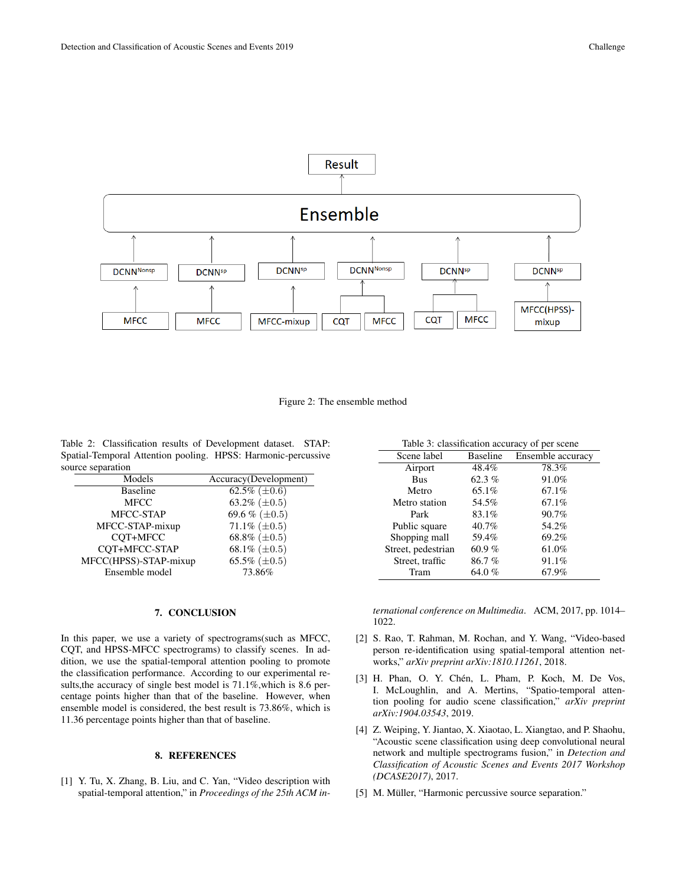

#### Figure 2: The ensemble method

Table 2: Classification results of Development dataset. STAP: Spatial-Temporal Attention pooling. HPSS: Harmonic-percussive source separation

| Models                | Accuracy(Development) |
|-----------------------|-----------------------|
| <b>Baseline</b>       | 62.5% ( $\pm 0.6$ )   |
| <b>MFCC</b>           | 63.2% $(\pm 0.5)$     |
| MFCC-STAP             | 69.6 % ( $\pm 0.5$ )  |
| MFCC-STAP-mixup       | 71.1\% $(\pm 0.5)$    |
| COT+MFCC              | 68.8% ( $\pm 0.5$ )   |
| CQT+MFCC-STAP         | 68.1% $(\pm 0.5)$     |
| MFCC(HPSS)-STAP-mixup | 65.5% ( $\pm 0.5$ )   |
| Ensemble model        | 73.86%                |

#### 7. CONCLUSION

In this paper, we use a variety of spectrograms(such as MFCC, CQT, and HPSS-MFCC spectrograms) to classify scenes. In addition, we use the spatial-temporal attention pooling to promote the classification performance. According to our experimental results,the accuracy of single best model is 71.1%,which is 8.6 percentage points higher than that of the baseline. However, when ensemble model is considered, the best result is 73.86%, which is 11.36 percentage points higher than that of baseline.

### 8. REFERENCES

[1] Y. Tu, X. Zhang, B. Liu, and C. Yan, "Video description with spatial-temporal attention," in *Proceedings of the 25th ACM in-*

| Table 3: classification accuracy of per scene |                 |                   |  |
|-----------------------------------------------|-----------------|-------------------|--|
| Scene label                                   | <b>Baseline</b> | Ensemble accuracy |  |
| Airport                                       | 48.4%           | 78.3%             |  |
| <b>Bus</b>                                    | 62.3 $%$        | 91.0%             |  |
| Metro                                         | 65.1%           | 67.1%             |  |
| Metro station                                 | 54.5%           | 67.1%             |  |
| Park                                          | 83.1%           | 90.7%             |  |
| Public square                                 | 40.7%           | 54.2%             |  |
| Shopping mall                                 | 59.4%           | 69.2%             |  |
| Street, pedestrian                            | 60.9%           | 61.0%             |  |
| Street, traffic                               | 86.7%           | 91.1%             |  |
| Tram                                          | 64.0 $%$        | 67.9%             |  |

*ternational conference on Multimedia*. ACM, 2017, pp. 1014– 1022.

- [2] S. Rao, T. Rahman, M. Rochan, and Y. Wang, "Video-based person re-identification using spatial-temporal attention networks," *arXiv preprint arXiv:1810.11261*, 2018.
- $[3]$  H. Phan, O. Y. Chén, L. Pham, P. Koch, M. De Vos, I. McLoughlin, and A. Mertins, "Spatio-temporal attention pooling for audio scene classification," *arXiv preprint arXiv:1904.03543*, 2019.
- [4] Z. Weiping, Y. Jiantao, X. Xiaotao, L. Xiangtao, and P. Shaohu, "Acoustic scene classification using deep convolutional neural network and multiple spectrograms fusion," in *Detection and Classification of Acoustic Scenes and Events 2017 Workshop (DCASE2017)*, 2017.
- [5] M. Müller, "Harmonic percussive source separation."